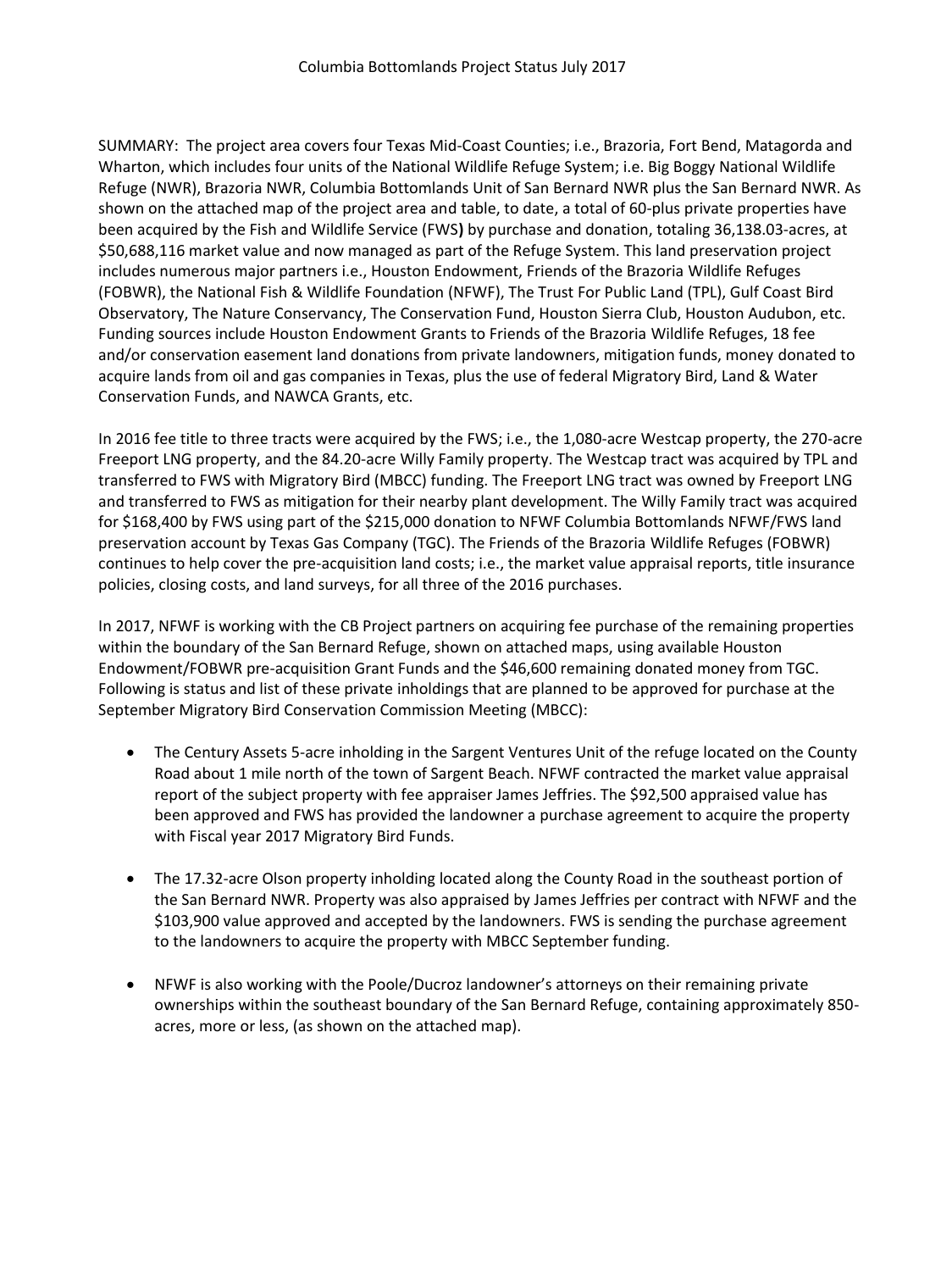SUMMARY: The project area covers four Texas Mid-Coast Counties; i.e., Brazoria, Fort Bend, Matagorda and Wharton, which includes four units of the National Wildlife Refuge System; i.e. Big Boggy National Wildlife Refuge (NWR), Brazoria NWR, Columbia Bottomlands Unit of San Bernard NWR plus the San Bernard NWR. As shown on the attached map of the project area and table, to date, a total of 60-plus private properties have been acquired by the Fish and Wildlife Service (FWS**)** by purchase and donation, totaling 36,138.03-acres, at \$50,688,116 market value and now managed as part of the Refuge System. This land preservation project includes numerous major partners i.e., Houston Endowment, Friends of the Brazoria Wildlife Refuges (FOBWR), the National Fish & Wildlife Foundation (NFWF), The Trust For Public Land (TPL), Gulf Coast Bird Observatory, The Nature Conservancy, The Conservation Fund, Houston Sierra Club, Houston Audubon, etc. Funding sources include Houston Endowment Grants to Friends of the Brazoria Wildlife Refuges, 18 fee and/or conservation easement land donations from private landowners, mitigation funds, money donated to acquire lands from oil and gas companies in Texas, plus the use of federal Migratory Bird, Land & Water Conservation Funds, and NAWCA Grants, etc.

In 2016 fee title to three tracts were acquired by the FWS; i.e., the 1,080-acre Westcap property, the 270-acre Freeport LNG property, and the 84.20-acre Willy Family property. The Westcap tract was acquired by TPL and transferred to FWS with Migratory Bird (MBCC) funding. The Freeport LNG tract was owned by Freeport LNG and transferred to FWS as mitigation for their nearby plant development. The Willy Family tract was acquired for \$168,400 by FWS using part of the \$215,000 donation to NFWF Columbia Bottomlands NFWF/FWS land preservation account by Texas Gas Company (TGC). The Friends of the Brazoria Wildlife Refuges (FOBWR) continues to help cover the pre-acquisition land costs; i.e., the market value appraisal reports, title insurance policies, closing costs, and land surveys, for all three of the 2016 purchases.

In 2017, NFWF is working with the CB Project partners on acquiring fee purchase of the remaining properties within the boundary of the San Bernard Refuge, shown on attached maps, using available Houston Endowment/FOBWR pre-acquisition Grant Funds and the \$46,600 remaining donated money from TGC. Following is status and list of these private inholdings that are planned to be approved for purchase at the September Migratory Bird Conservation Commission Meeting (MBCC):

- The Century Assets 5-acre inholding in the Sargent Ventures Unit of the refuge located on the County Road about 1 mile north of the town of Sargent Beach. NFWF contracted the market value appraisal report of the subject property with fee appraiser James Jeffries. The \$92,500 appraised value has been approved and FWS has provided the landowner a purchase agreement to acquire the property with Fiscal year 2017 Migratory Bird Funds.
- The 17.32-acre Olson property inholding located along the County Road in the southeast portion of the San Bernard NWR. Property was also appraised by James Jeffries per contract with NFWF and the \$103,900 value approved and accepted by the landowners. FWS is sending the purchase agreement to the landowners to acquire the property with MBCC September funding.
- NFWF is also working with the Poole/Ducroz landowner's attorneys on their remaining private ownerships within the southeast boundary of the San Bernard Refuge, containing approximately 850 acres, more or less, (as shown on the attached map).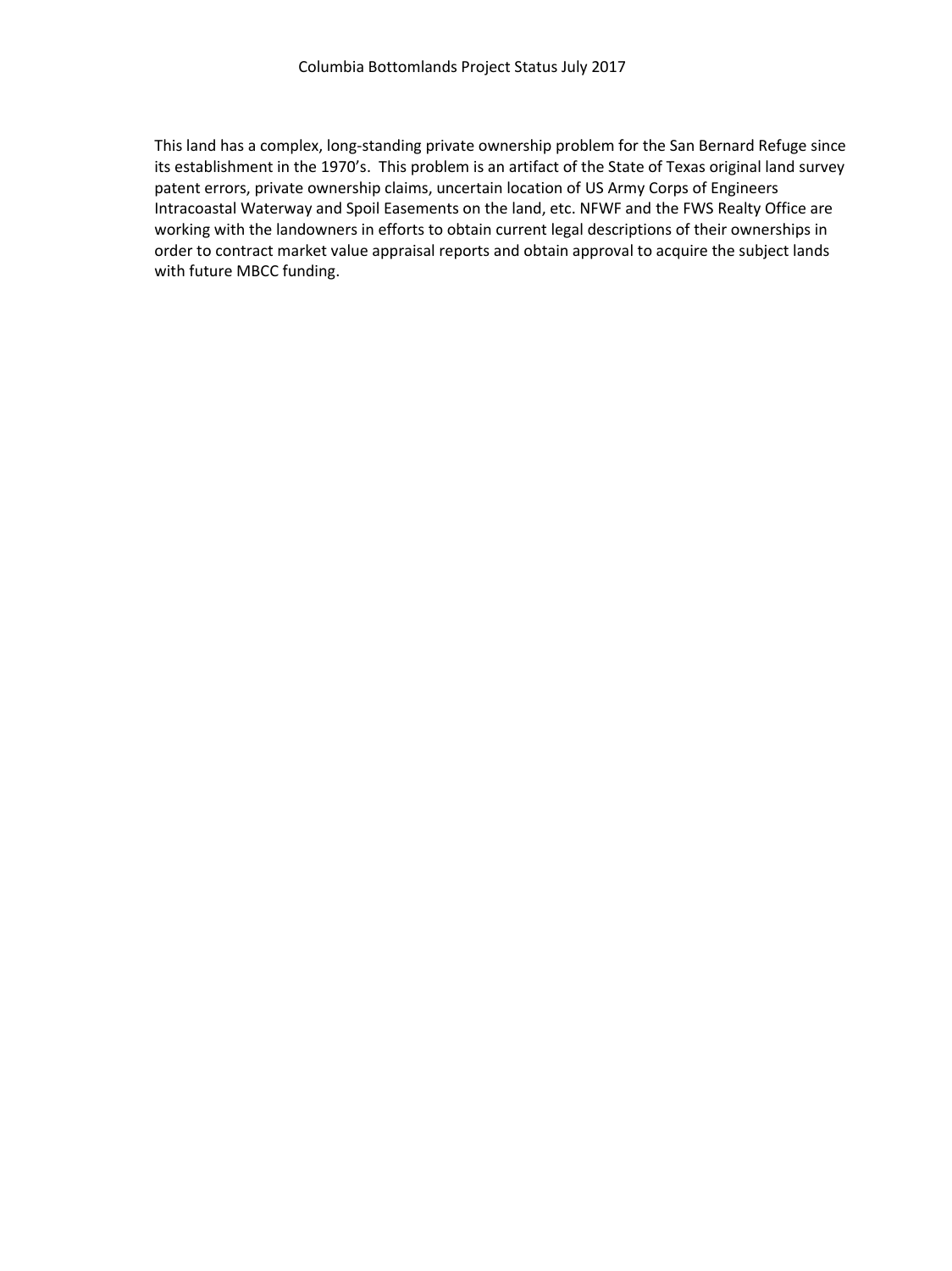This land has a complex, long-standing private ownership problem for the San Bernard Refuge since its establishment in the 1970's. This problem is an artifact of the State of Texas original land survey patent errors, private ownership claims, uncertain location of US Army Corps of Engineers Intracoastal Waterway and Spoil Easements on the land, etc. NFWF and the FWS Realty Office are working with the landowners in efforts to obtain current legal descriptions of their ownerships in order to contract market value appraisal reports and obtain approval to acquire the subject lands with future MBCC funding.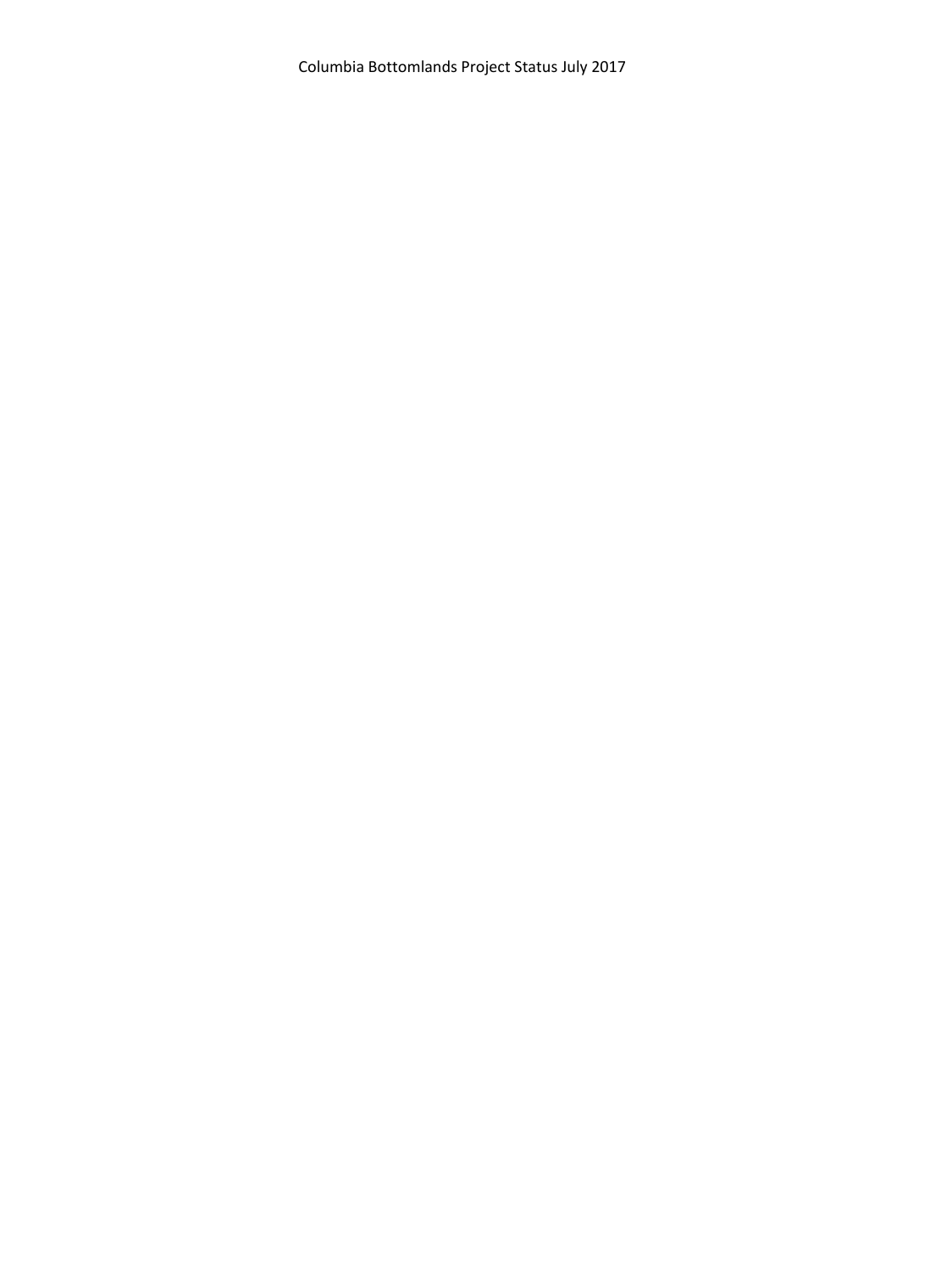Columbia Bottomlands Project Status July 2017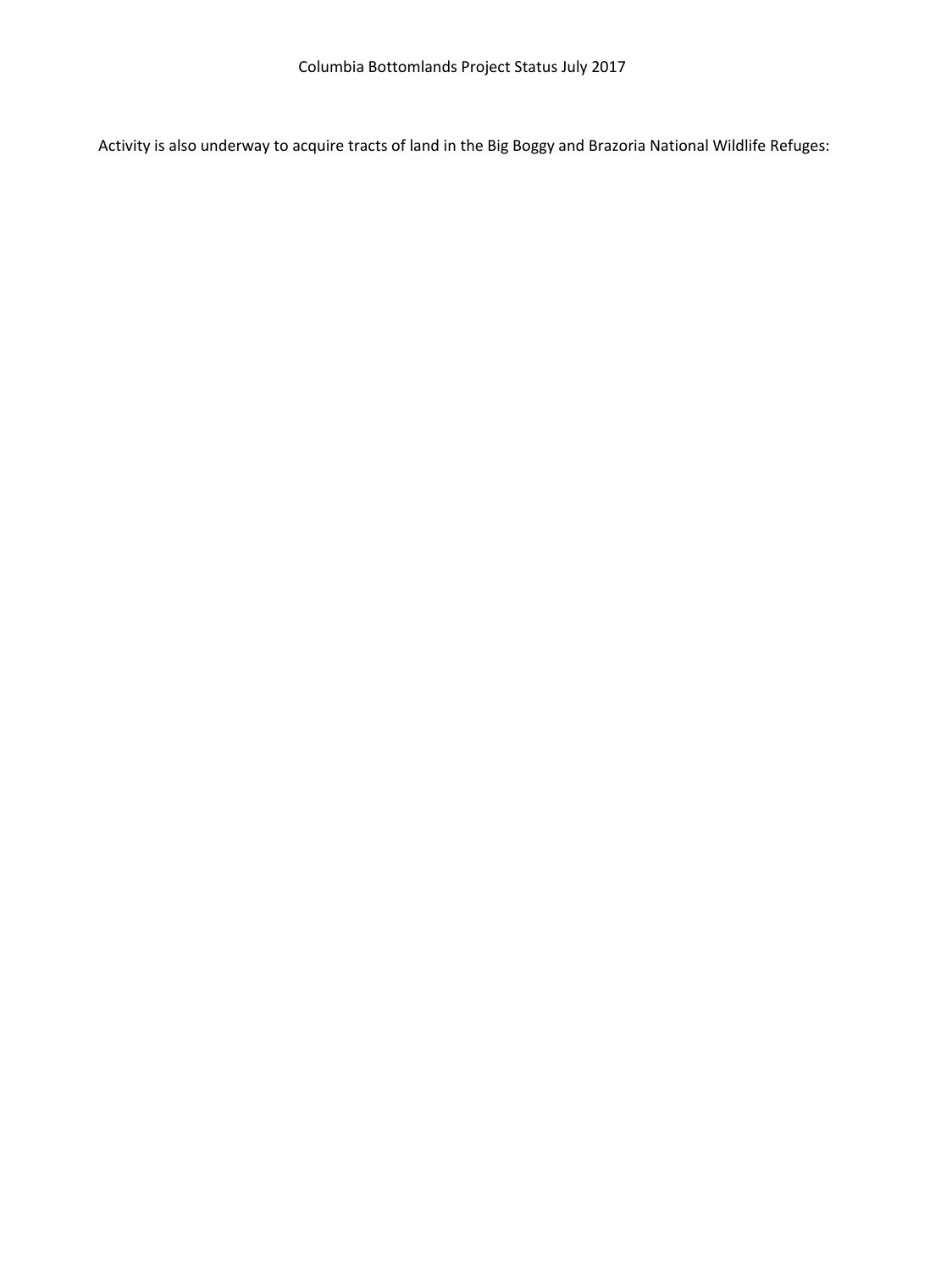Activity is also underway to acquire tracts of land in the Big Boggy and Brazoria National Wildlife Refuges: